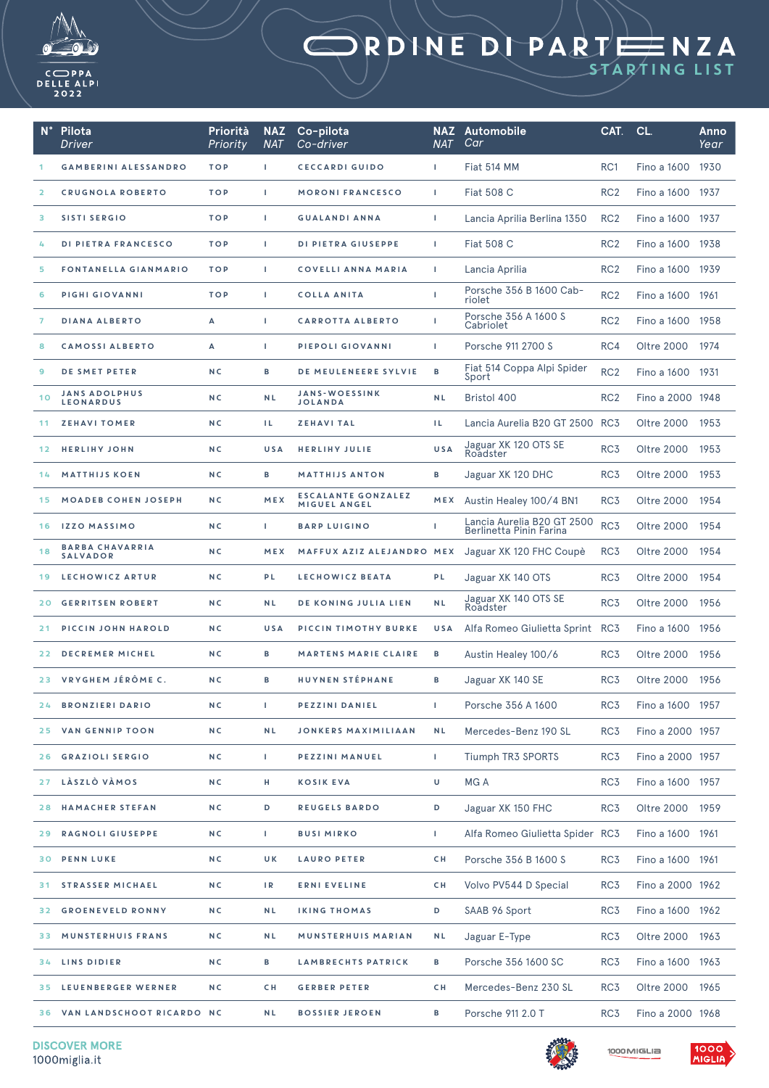

## STARTING LIST

| $N^{\circ}$     | Pilota<br><b>Driver</b>                   | Priorità<br>Priority | <b>NAZ</b><br><b>NAT</b> | Co-pilota<br>Co-driver                    | <b>NAT</b> | <b>NAZ</b> Automobile<br>Car                          | CAT.            | CL.                | Anno<br>Year |
|-----------------|-------------------------------------------|----------------------|--------------------------|-------------------------------------------|------------|-------------------------------------------------------|-----------------|--------------------|--------------|
|                 | <b>GAMBERINI ALESSANDRO</b>               | <b>TOP</b>           | $\mathbf{L}$             | <b>CECCARDI GUIDO</b>                     | L.         | Fiat 514 MM                                           | RC <sub>1</sub> | Fino a 1600        | 1930         |
| $\overline{2}$  | <b>CRUGNOLA ROBERTO</b>                   | <b>TOP</b>           | L.                       | <b>MORONI FRANCESCO</b>                   | L.         | <b>Fiat 508 C</b>                                     | RC <sub>2</sub> | Fino a 1600        | 1937         |
| з               | <b>SISTI SERGIO</b>                       | <b>TOP</b>           | T.                       | <b>GUALANDI ANNA</b>                      | T.         | Lancia Aprilia Berlina 1350                           | RC <sub>2</sub> | Fino a 1600        | 1937         |
| 4               | DI PIETRA FRANCESCO                       | <b>TOP</b>           | J.                       | DI PIETRA GIUSEPPE                        | т          | <b>Fiat 508 C</b>                                     | RC <sub>2</sub> | Fino a 1600 1938   |              |
| 5               | <b>FONTANELLA GIANMARIO</b>               | <b>TOP</b>           | $\mathbf{L}$             | <b>COVELLI ANNA MARIA</b>                 | L.         | Lancia Aprilia                                        | RC <sub>2</sub> | <b>Fino a 1600</b> | 1939         |
| 6               | PIGHI GIOVANNI                            | <b>TOP</b>           | T.                       | <b>COLLA ANITA</b>                        | т          | Porsche 356 B 1600 Cab-<br>riolet                     | RC <sub>2</sub> | Fino a 1600        | 1961         |
| 7               | <b>DIANA ALBERTO</b>                      | A                    | L.                       | <b>CARROTTA ALBERTO</b>                   | т          | Porsche 356 A 1600 S<br>Cabriolet                     | RC <sub>2</sub> | Fino a 1600        | 1958         |
| 8               | <b>CAMOSSI ALBERTO</b>                    | А                    | J.                       | PIEPOLI GIOVANNI                          | т          | Porsche 911 2700 S                                    | RC4             | Oltre 2000         | 1974         |
| 9               | DE SMET PETER                             | N <sub>C</sub>       | в                        | DE MEULENEERE SYLVIE                      | в          | Fiat 514 Coppa Alpi Spider<br>Sport                   | RC <sub>2</sub> | Fino a 1600        | 1931         |
| 10              | <b>JANS ADOLPHUS</b><br><b>LEONARDUS</b>  | N <sub>C</sub>       | <b>NL</b>                | <b>JANS-WOESSINK</b><br><b>JOLANDA</b>    | <b>NL</b>  | <b>Bristol 400</b>                                    | RC <sub>2</sub> | Fino a 2000 1948   |              |
| 11              | <b>ZEHAVI TOMER</b>                       | N <sub>C</sub>       | TL.                      | <b>ZEHAVITAL</b>                          | H.         | Lancia Aurelia B20 GT 2500 RC3                        |                 | Oltre 2000         | 1953         |
| 12 <sub>1</sub> | <b>HERLIHY JOHN</b>                       | N <sub>C</sub>       | USA                      | <b>HERLIHY JULIE</b>                      | <b>USA</b> | Jaguar XK 120 OTS SE<br>Roadster                      | RC <sub>3</sub> | Oltre 2000         | 1953         |
| 14              | <b>MATTHIJS KOEN</b>                      | N <sub>C</sub>       | в                        | <b>MATTHIJS ANTON</b>                     | в          | Jaguar XK 120 DHC                                     | RC <sub>3</sub> | <b>Oltre 2000</b>  | 1953         |
| 15              | <b>MOADEB COHEN JOSEPH</b>                | N <sub>C</sub>       | MEX                      | <b>ESCALANTE GONZALEZ</b><br>MIGUEL ANGEL | MEX        | Austin Healey 100/4 BN1                               | RC <sub>3</sub> | Oltre 2000         | 1954         |
| 16              | <b>IZZO MASSIMO</b>                       | N <sub>C</sub>       | $\mathbf{L}$             | <b>BARP LUIGINO</b>                       | т          | Lancia Aurelia B20 GT 2500<br>Berlinetta Pinin Farina | RC <sub>3</sub> | Oltre 2000         | 1954         |
| 18              | <b>BARBA CHAVARRIA</b><br><b>SALVADOR</b> | N <sub>C</sub>       | MEX                      | MAFFUX AZIZ ALEJANDRO MEX                 |            | Jaguar XK 120 FHC Coupè                               | RC <sub>3</sub> | Oltre 2000         | 1954         |
| 19              | LECHOWICZ ARTUR                           | N <sub>C</sub>       | PL                       | LECHOWICZ BEATA                           | PL         | Jaguar XK 140 OTS                                     | RC <sub>3</sub> | Oltre 2000         | 1954         |
| 20              | <b>GERRITSEN ROBERT</b>                   | <b>NC</b>            | <b>NL</b>                | <b>DE KONING JULIA LIEN</b>               | <b>NL</b>  | Jaguar XK 140 OTS SE<br>Roadster                      | RC <sub>3</sub> | <b>Oltre 2000</b>  | 1956         |
| 21              | PICCIN JOHN HAROLD                        | N <sub>C</sub>       | USA                      | PICCIN TIMOTHY BURKE                      | <b>USA</b> | Alfa Romeo Giulietta Sprint                           | RC <sub>3</sub> | Fino a 1600        | 1956         |
| 22.             | <b>DECREMER MICHEL</b>                    | N <sub>C</sub>       | в                        | <b>MARTENS MARIE CLAIRE</b>               | в          | Austin Healey 100/6                                   | RC <sub>3</sub> | Oltre 2000         | 1956         |
|                 | 23 VRYGHEM JÉRÔME C.                      | N <sub>C</sub>       | в                        | <b>HUYNEN STÉPHANE</b>                    | в          | Jaguar XK 140 SE                                      | RC <sub>3</sub> | <b>Oltre 2000</b>  | 1956         |
| 24              | <b>BRONZIERI DARIO</b>                    | N C                  | T.                       | PEZZINI DANIEL                            | L          | Porsche 356 A 1600                                    | RC <sub>3</sub> | Fino a 1600 1957   |              |
| 25              | VAN GENNIP TOON                           | N C                  | <b>NL</b>                | <b>JONKERS MAXIMILIAAN</b>                | <b>NL</b>  | Mercedes-Benz 190 SL                                  | RC <sub>3</sub> | Fino a 2000 1957   |              |
| 26              | <b>GRAZIOLI SERGIO</b>                    | N C                  | L                        | PEZZINI MANUEL                            | I.         | Tiumph TR3 SPORTS                                     | RC3             | Fino a 2000 1957   |              |
| 27              | LÀSZLÒ VÀMOS                              | N C                  | н                        | <b>KOSIK EVA</b>                          | U          | MG A                                                  | RC <sub>3</sub> | Fino a 1600 1957   |              |
| 28              | <b>HAMACHER STEFAN</b>                    | N C                  | D                        | <b>REUGELS BARDO</b>                      | D          | Jaguar XK 150 FHC                                     | RC3             | Oltre 2000 1959    |              |
| 29              | RAGNOLI GIUSEPPE                          | N C                  | T.                       | <b>BUSI MIRKO</b>                         | L.         | Alfa Romeo Giulietta Spider RC3                       |                 | Fino a 1600 1961   |              |
| 30              | <b>PENN LUKE</b>                          | N C                  | UK.                      | <b>LAURO PETER</b>                        | C H        | Porsche 356 B 1600 S                                  | RC <sub>3</sub> | Fino a 1600 1961   |              |
| 31.             | <b>STRASSER MICHAEL</b>                   | N C                  | IR                       | <b>ERNI EVELINE</b>                       | C H        | Volvo PV544 D Special                                 | RC <sub>3</sub> | Fino a 2000 1962   |              |
| 32.             | <b>GROENEVELD RONNY</b>                   | N C                  | NL                       | <b>IKING THOMAS</b>                       | D          | SAAB 96 Sport                                         | RC3             | Fino a 1600 1962   |              |
| 33.             | MUNSTERHUIS FRANS                         | N C                  | <b>NL</b>                | MUNSTERHUIS MARIAN                        | N L        | Jaguar E-Type                                         | RC <sub>3</sub> | Oltre 2000         | 1963         |
| 34              | LINS DIDIER                               | N C                  | в                        | LAMBRECHTS PATRICK                        | в          | Porsche 356 1600 SC                                   | RC <sub>3</sub> | Fino a 1600 1963   |              |
| 35.             | LEUENBERGER WERNER                        | N <sub>C</sub>       | CH.                      | <b>GERBER PETER</b>                       | C H        | Mercedes-Benz 230 SL                                  | RC3             | Oltre 2000         | 1965         |
|                 | 36 VAN LANDSCHOOT RICARDO NC              |                      | NL                       | <b>BOSSIER JEROEN</b>                     | в          | Porsche 911 2.0 T                                     | RC3             | Fino a 2000 1968   |              |